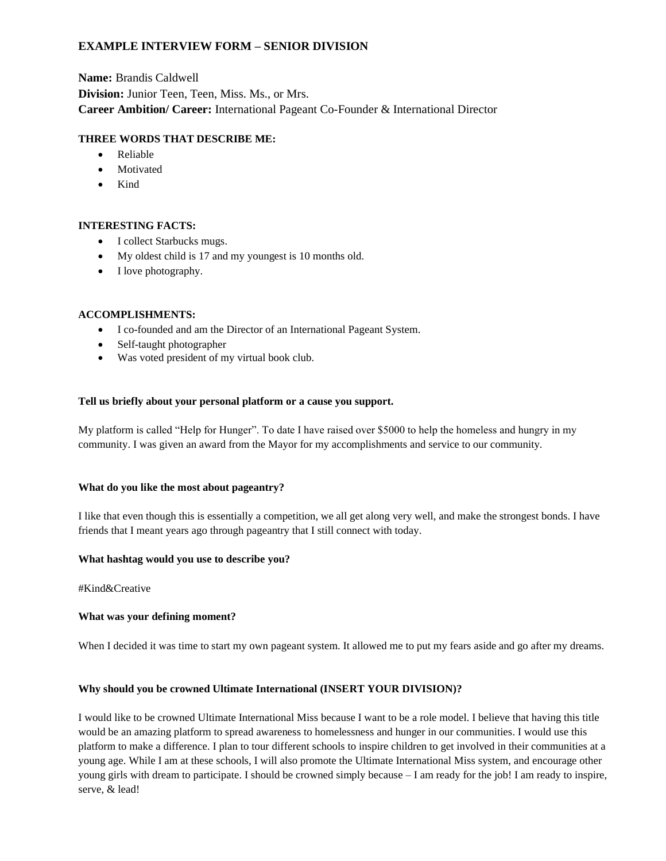# **EXAMPLE INTERVIEW FORM – SENIOR DIVISION**

**Name:** Brandis Caldwell **Division:** Junior Teen, Teen, Miss. Ms., or Mrs. **Career Ambition/ Career:** International Pageant Co-Founder & International Director

## **THREE WORDS THAT DESCRIBE ME:**

- Reliable
- **Motivated**
- Kind

### **INTERESTING FACTS:**

- I collect Starbucks mugs.
- My oldest child is 17 and my youngest is 10 months old.
- I love photography.

### **ACCOMPLISHMENTS:**

- I co-founded and am the Director of an International Pageant System.
- Self-taught photographer
- Was voted president of my virtual book club.

### **Tell us briefly about your personal platform or a cause you support.**

My platform is called "Help for Hunger". To date I have raised over \$5000 to help the homeless and hungry in my community. I was given an award from the Mayor for my accomplishments and service to our community.

### **What do you like the most about pageantry?**

I like that even though this is essentially a competition, we all get along very well, and make the strongest bonds. I have friends that I meant years ago through pageantry that I still connect with today.

### **What hashtag would you use to describe you?**

#Kind&Creative

### **What was your defining moment?**

When I decided it was time to start my own pageant system. It allowed me to put my fears aside and go after my dreams.

### **Why should you be crowned Ultimate International (INSERT YOUR DIVISION)?**

I would like to be crowned Ultimate International Miss because I want to be a role model. I believe that having this title would be an amazing platform to spread awareness to homelessness and hunger in our communities. I would use this platform to make a difference. I plan to tour different schools to inspire children to get involved in their communities at a young age. While I am at these schools, I will also promote the Ultimate International Miss system, and encourage other young girls with dream to participate. I should be crowned simply because – I am ready for the job! I am ready to inspire, serve, & lead!